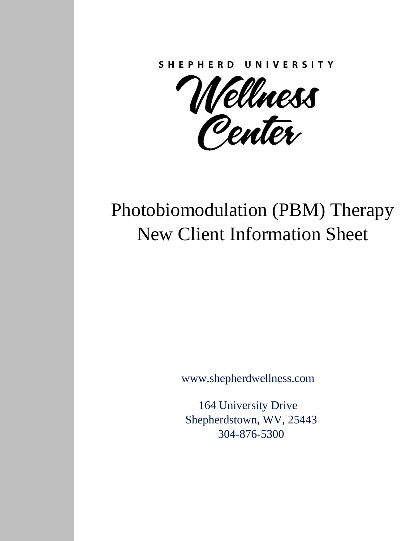**SHEPHERD** UNIVERSITY

Wéllness<br>Penter

# Photobiomodulation (PBM) Therapy New Client Information Sheet

[www.shepherdwellness.com](http://www.shepherdwellness.com/)

164 University Drive Shepherdstown, WV, 25443 304-876-5300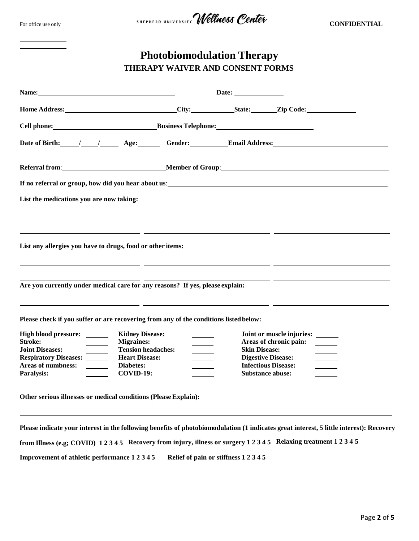| For office use only |  |  |
|---------------------|--|--|
|---------------------|--|--|



| <b>Photobiomodulation Therapy</b>       |
|-----------------------------------------|
| <b>THERAPY WAIVER AND CONSENT FORMS</b> |

| Name: Name and the second state of the second state of the second state of the second state of the second state of the second state of the second state of the second state of the second state of the second state of the sec |                                                                                       |                                                                                                                        |                                                   |                                                                                                                                         |
|--------------------------------------------------------------------------------------------------------------------------------------------------------------------------------------------------------------------------------|---------------------------------------------------------------------------------------|------------------------------------------------------------------------------------------------------------------------|---------------------------------------------------|-----------------------------------------------------------------------------------------------------------------------------------------|
|                                                                                                                                                                                                                                | Home Address: City: State: Zip Code:                                                  |                                                                                                                        |                                                   |                                                                                                                                         |
|                                                                                                                                                                                                                                |                                                                                       |                                                                                                                        |                                                   |                                                                                                                                         |
|                                                                                                                                                                                                                                |                                                                                       |                                                                                                                        |                                                   | Date of Birth: 1 1 Age: Gender: Email Address:                                                                                          |
|                                                                                                                                                                                                                                |                                                                                       |                                                                                                                        |                                                   |                                                                                                                                         |
|                                                                                                                                                                                                                                |                                                                                       |                                                                                                                        |                                                   |                                                                                                                                         |
| List the medications you are now taking:                                                                                                                                                                                       |                                                                                       |                                                                                                                        |                                                   |                                                                                                                                         |
|                                                                                                                                                                                                                                | <u> 1999 - Jan James James Sandar (j. 1920)</u>                                       |                                                                                                                        |                                                   |                                                                                                                                         |
|                                                                                                                                                                                                                                |                                                                                       |                                                                                                                        |                                                   | <u> 1990 - Andrea Santana, presidente e altre altres estados de la califactura de la califactura de la califactur</u>                   |
|                                                                                                                                                                                                                                | List any allergies you have to drugs, food or other items:                            |                                                                                                                        |                                                   |                                                                                                                                         |
|                                                                                                                                                                                                                                |                                                                                       | <u> 1989 - Johann Stoff, deutscher Stoffen und der Stoffen und der Stoffen und der Stoffen und der Stoffen und der</u> |                                                   |                                                                                                                                         |
|                                                                                                                                                                                                                                | Are you currently under medical care for any reasons? If yes, please explain:         |                                                                                                                        |                                                   | <u> 1980 - John Stone, amerikansk politiker (d. 1980)</u>                                                                               |
|                                                                                                                                                                                                                                |                                                                                       | <u> 1980 - Andrea Andrew Maria (h. 1980).</u>                                                                          |                                                   |                                                                                                                                         |
|                                                                                                                                                                                                                                | Please check if you suffer or are recovering from any of the conditions listed below: |                                                                                                                        |                                                   |                                                                                                                                         |
| High blood pressure: ______                                                                                                                                                                                                    | <b>Kidney Disease:</b>                                                                |                                                                                                                        |                                                   | Joint or muscle injuries: ______                                                                                                        |
| <b>Stroke:</b><br>$\overline{\phantom{a}}$                                                                                                                                                                                     | <b>Migraines:</b>                                                                     |                                                                                                                        |                                                   | Areas of chronic pain:                                                                                                                  |
| <b>Joint Diseases:</b><br>$\frac{1}{2}$<br><b>Respiratory Diseases:</b>                                                                                                                                                        | <b>Tension headaches:</b><br><b>Heart Disease:</b>                                    |                                                                                                                        | <b>Skin Disease:</b><br><b>Digestive Disease:</b> |                                                                                                                                         |
| <b>Areas of numbness:</b><br>$\overline{\phantom{a}}$                                                                                                                                                                          | Diabetes:                                                                             |                                                                                                                        | <b>Infectious Disease:</b>                        |                                                                                                                                         |
| Paralysis:                                                                                                                                                                                                                     | $COVID-19:$                                                                           |                                                                                                                        | Substance abuse:                                  |                                                                                                                                         |
|                                                                                                                                                                                                                                |                                                                                       |                                                                                                                        |                                                   |                                                                                                                                         |
|                                                                                                                                                                                                                                | Other serious illnesses or medical conditions (Please Explain):                       |                                                                                                                        |                                                   |                                                                                                                                         |
|                                                                                                                                                                                                                                |                                                                                       |                                                                                                                        |                                                   |                                                                                                                                         |
|                                                                                                                                                                                                                                |                                                                                       |                                                                                                                        |                                                   | Please indicate your interest in the following benefits of photobiomodulation (1 indicates great interest, 5 little interest): Recovery |

**from Illness (e.g; COVID) 1 2 3 4 5 Recovery from injury, illness or surgery 1 2 3 4 5 Relaxing treatment 1 2 3 4 5**

**Improvement of athletic performance 1 2 3 4 5 Relief of pain or stiffness 1 2 3 4 5**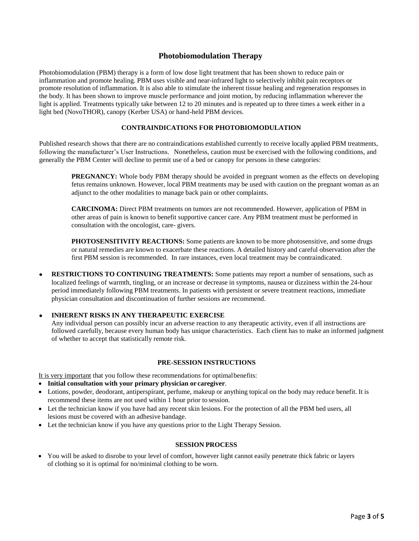## **Photobiomodulation Therapy**

Photobiomodulation (PBM) therapy is a form of low dose light treatment that has been shown to reduce pain or inflammation and promote healing. PBM uses visible and near-infrared light to selectively inhibit pain receptors or promote resolution of inflammation. It is also able to stimulate the inherent tissue healing and regeneration responses in the body. It has been shown to improve muscle performance and joint motion, by reducing inflammation wherever the light is applied. Treatments typically take between 12 to 20 minutes and is repeated up to three times a week either in a light bed (NovoTHOR), canopy (Kerber USA) or hand-held PBM devices.

#### **CONTRAINDICATIONS FOR PHOTOBIOMODULATION**

Published research shows that there are no contraindications established currently to receive locally applied PBM treatments, following the manufacturer's User Instructions. Nonetheless, caution must be exercised with the following conditions, and generally the PBM Center will decline to permit use of a bed or canopy for persons in these categories:

**PREGNANCY:** Whole body PBM therapy should be avoided in pregnant women as the effects on developing fetus remains unknown. However, local PBM treatments may be used with caution on the pregnant woman as an adjunct to the other modalities to manage back pain or other complaints.

**CARCINOMA:** Direct PBM treatments on tumors are not recommended. However, application of PBM in other areas of pain is known to benefit supportive cancer care. Any PBM treatment must be performed in consultation with the oncologist, care- givers.

**PHOTOSENSITIVITY REACTIONS:** Some patients are known to be more photosensitive, and some drugs or natural remedies are known to exacerbate these reactions. A detailed history and careful observation after the first PBM session is recommended. In rare instances, even local treatment may be contraindicated.

 **RESTRICTIONS TO CONTINUING TREATMENTS:** Some patients may report a number of sensations, such as localized feelings of warmth, tingling, or an increase or decrease in symptoms, nausea or dizziness within the 24-hour period immediately following PBM treatments. In patients with persistent or severe treatment reactions, immediate physician consultation and discontinuation of further sessions are recommend.

#### **INHERENT RISKS IN ANY THERAPEUTIC EXERCISE**

Any individual person can possibly incur an adverse reaction to any therapeutic activity, even if all instructions are followed carefully, because every human body has unique characteristics. Each client has to make an informed judgment of whether to accept that statistically remote risk.

#### **PRE-SESSION INSTRUCTIONS**

It is very important that you follow these recommendations for optimalbenefits:

- **Initial consultation with your primary physician or caregiver**.
- Lotions, powder, deodorant, antiperspirant, perfume, makeup or anything topical on the body may reduce benefit. It is recommend these items are not used within 1 hour prior to session.
- Let the technician know if you have had any recent skin lesions. For the protection of all the PBM bed users, all lesions must be covered with an adhesive bandage.
- Let the technician know if you have any questions prior to the Light Therapy Session.

#### **SESSION PROCESS**

• You will be asked to disrobe to your level of comfort, however light cannot easily penetrate thick fabric or layers of clothing so it is optimal for no/minimal clothing to be worn.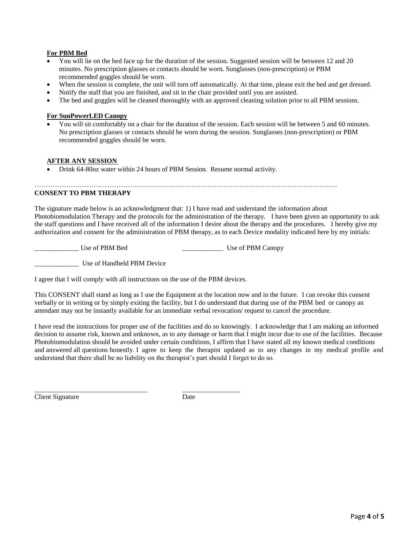## **For PBM Bed**

- You will lie on the bed face up for the duration of the session. Suggested session will be between 12 and 20 minutes. No prescription glasses or contacts should be worn. Sunglasses (non-prescription) or PBM recommended goggles should be worn.
- When the session is complete, the unit will turn off automatically. At that time, please exit the bed and get dressed.
- Notify the staff that you are finished, and sit in the chair provided until you are assisted.
- The bed and goggles will be cleaned thoroughly with an approved cleaning solution prior to all PBM sessions.

### **For SunPowerLED Canopy**

 You will sit comfortably on a chair for the duration of the session. Each session will be between 5 and 60 minutes. No prescription glasses or contacts should be worn during the session. Sunglasses (non-prescription) or PBM recommended goggles should be worn.

#### **AFTER ANY SESSION**

Drink 64-80oz water within 24 hours of PBM Session. Resume normal activity.

…………………………………………………………………………………………………………………….

## **CONSENT TO PBM THERAPY**

The signature made below is an acknowledgment that: 1) I have read and understand the information about Photobiomodulation Therapy and the protocols for the administration of the therapy. I have been given an opportunity to ask the staff questions and I have received all of the information I desire about the therapy and the procedures. I hereby give my authorization and consent for the administration of PBM therapy, as to each Device modality indicated here by my initials:

\_\_\_\_\_\_\_\_\_\_\_\_\_ Use of PBM Bed \_\_\_\_\_\_\_\_\_\_\_\_ Use of PBM Canopy

\_\_\_\_\_\_\_\_\_\_\_\_\_ Use of Handheld PBM Device

I agree that I will comply with all instructions on the use of the PBM devices.

\_\_\_\_\_\_\_\_\_\_\_\_\_\_\_\_\_\_\_\_\_\_\_\_\_\_\_\_\_\_\_\_\_ \_\_\_\_\_\_\_\_\_\_\_\_\_\_\_\_\_

This CONSENT shall stand as long as I use the Equipment at the location now and in the future. I can revoke this consent verbally or in writing or by simply exiting the facility, but I do understand that during use of the PBM bed or canopy an attendant may not be instantly available for an immediate verbal revocation/ request to cancel the procedure.

I have read the instructions for proper use of the facilities and do so knowingly. I acknowledge that I am making an informed decision to assume risk, known and unknown, as to any damage or harm that I might incur due to use of the facilities. Because Photobiomodulation should be avoided under certain conditions, I affirm that I have stated all my known medical conditions and answered all questions honestly. I agree to keep the therapist updated as to any changes in my medical profile and understand that there shall be no liability on the therapist's part should I forget to do so.

**Client Signature** Date